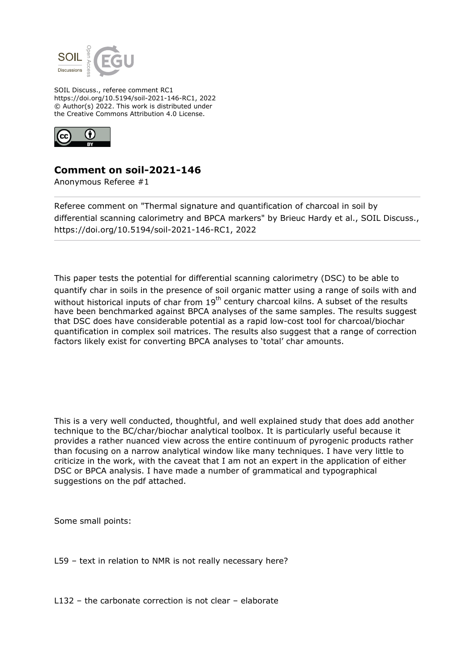

SOIL Discuss., referee comment RC1 https://doi.org/10.5194/soil-2021-146-RC1, 2022 © Author(s) 2022. This work is distributed under the Creative Commons Attribution 4.0 License.



## **Comment on soil-2021-146**

Anonymous Referee #1

Referee comment on "Thermal signature and quantification of charcoal in soil by differential scanning calorimetry and BPCA markers" by Brieuc Hardy et al., SOIL Discuss., https://doi.org/10.5194/soil-2021-146-RC1, 2022

This paper tests the potential for differential scanning calorimetry (DSC) to be able to quantify char in soils in the presence of soil organic matter using a range of soils with and without historical inputs of char from  $19<sup>th</sup>$  century charcoal kilns. A subset of the results have been benchmarked against BPCA analyses of the same samples. The results suggest that DSC does have considerable potential as a rapid low-cost tool for charcoal/biochar quantification in complex soil matrices. The results also suggest that a range of correction factors likely exist for converting BPCA analyses to 'total' char amounts.

This is a very well conducted, thoughtful, and well explained study that does add another technique to the BC/char/biochar analytical toolbox. It is particularly useful because it provides a rather nuanced view across the entire continuum of pyrogenic products rather than focusing on a narrow analytical window like many techniques. I have very little to criticize in the work, with the caveat that I am not an expert in the application of either DSC or BPCA analysis. I have made a number of grammatical and typographical suggestions on the pdf attached.

Some small points:

L59 – text in relation to NMR is not really necessary here?

L132 – the carbonate correction is not clear – elaborate